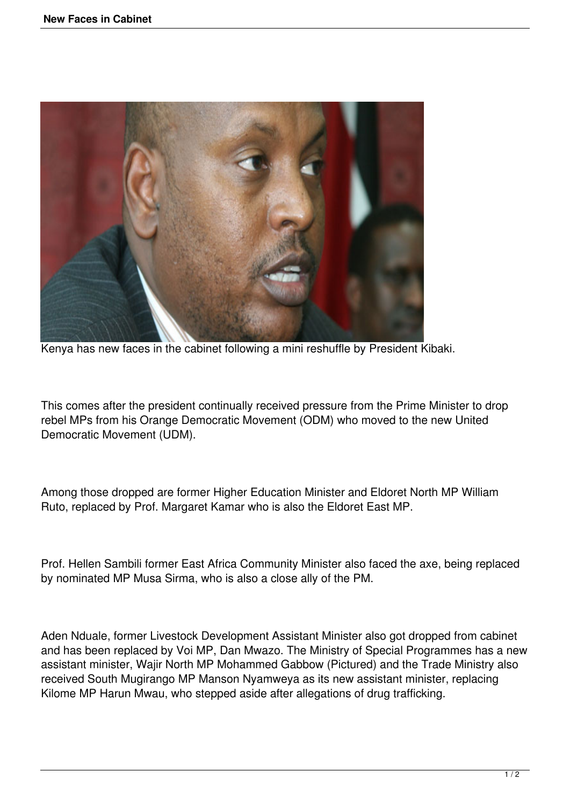

Kenya has new faces in the cabinet following a mini reshuffle by President Kibaki.

This comes after the president continually received pressure from the Prime Minister to drop rebel MPs from his Orange Democratic Movement (ODM) who moved to the new United Democratic Movement (UDM).

Among those dropped are former Higher Education Minister and Eldoret North MP William Ruto, replaced by Prof. Margaret Kamar who is also the Eldoret East MP.

Prof. Hellen Sambili former East Africa Community Minister also faced the axe, being replaced by nominated MP Musa Sirma, who is also a close ally of the PM.

Aden Nduale, former Livestock Development Assistant Minister also got dropped from cabinet and has been replaced by Voi MP, Dan Mwazo. The Ministry of Special Programmes has a new assistant minister, Wajir North MP Mohammed Gabbow (Pictured) and the Trade Ministry also received South Mugirango MP Manson Nyamweya as its new assistant minister, replacing Kilome MP Harun Mwau, who stepped aside after allegations of drug trafficking.